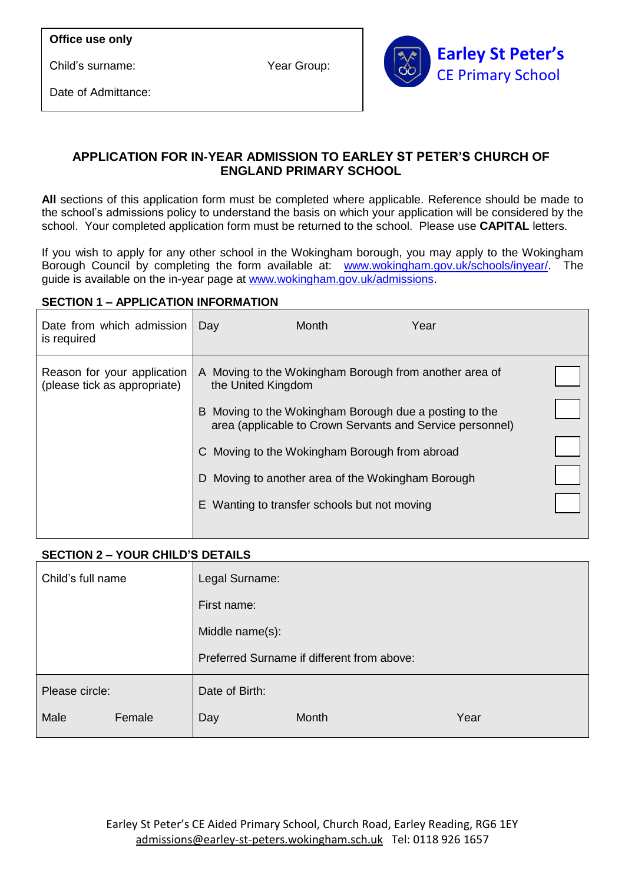Child's surname:

Date of Admittance:



# **APPLICATION FOR IN-YEAR ADMISSION TO EARLEY ST PETER'S CHURCH OF ENGLAND PRIMARY SCHOOL**

**All** sections of this application form must be completed where applicable. Reference should be made to the school's admissions policy to understand the basis on which your application will be considered by the school. Your completed application form must be returned to the school. Please use **CAPITAL** letters.

If you wish to apply for any other school in the Wokingham borough, you may apply to the Wokingham Borough Council by completing the form available at: [www.wokingham.gov.uk/schools/inyear/.](http://www.wokingham.gov.uk/schools/inyear/) The guide is available on the in-year page at [www.wokingham.gov.uk/admissions.](http://www.wokingham.gov.uk/admissions)

## **SECTION 1 – APPLICATION INFORMATION**

| Date from which admission<br>is required                    | Day                | <b>Month</b>                                                                                                        | Year |  |
|-------------------------------------------------------------|--------------------|---------------------------------------------------------------------------------------------------------------------|------|--|
| Reason for your application<br>(please tick as appropriate) | the United Kingdom | A Moving to the Wokingham Borough from another area of                                                              |      |  |
|                                                             |                    | B Moving to the Wokingham Borough due a posting to the<br>area (applicable to Crown Servants and Service personnel) |      |  |
|                                                             |                    | C Moving to the Wokingham Borough from abroad                                                                       |      |  |
|                                                             | D.                 | Moving to another area of the Wokingham Borough                                                                     |      |  |
|                                                             |                    | E Wanting to transfer schools but not moving                                                                        |      |  |
|                                                             |                    |                                                                                                                     |      |  |

# **SECTION 2 – YOUR CHILD'S DETAILS**

| Child's full name |        | Legal Surname:                             |              |      |
|-------------------|--------|--------------------------------------------|--------------|------|
|                   |        | First name:                                |              |      |
|                   |        | Middle name(s):                            |              |      |
|                   |        | Preferred Surname if different from above: |              |      |
| Please circle:    |        | Date of Birth:                             |              |      |
| Male              | Female | Day                                        | <b>Month</b> | Year |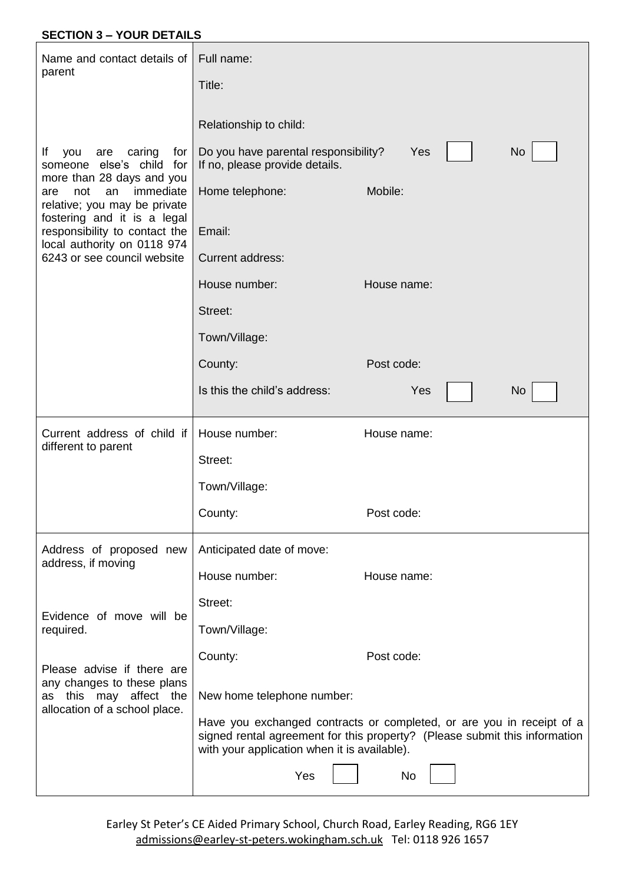## **SECTION 3 – YOUR DETAILS**

| Name and contact details of                                                                                               | Full name:                                                                                                                                                                                          |             |           |
|---------------------------------------------------------------------------------------------------------------------------|-----------------------------------------------------------------------------------------------------------------------------------------------------------------------------------------------------|-------------|-----------|
| parent                                                                                                                    | Title:                                                                                                                                                                                              |             |           |
| lf<br>caring<br>you<br>for<br>are<br>someone else's child for                                                             | Relationship to child:<br>Do you have parental responsibility?<br>If no, please provide details.                                                                                                    | Yes         | <b>No</b> |
| more than 28 days and you<br>immediate<br>not<br>an<br>are<br>relative; you may be private<br>fostering and it is a legal | Home telephone:                                                                                                                                                                                     | Mobile:     |           |
| responsibility to contact the<br>local authority on 0118 974                                                              | Email:                                                                                                                                                                                              |             |           |
| 6243 or see council website                                                                                               | <b>Current address:</b>                                                                                                                                                                             |             |           |
|                                                                                                                           | House number:                                                                                                                                                                                       | House name: |           |
|                                                                                                                           | Street:                                                                                                                                                                                             |             |           |
|                                                                                                                           | Town/Village:                                                                                                                                                                                       |             |           |
|                                                                                                                           | County:                                                                                                                                                                                             | Post code:  |           |
|                                                                                                                           | Is this the child's address:                                                                                                                                                                        | Yes         | <b>No</b> |
|                                                                                                                           |                                                                                                                                                                                                     |             |           |
| Current address of child if                                                                                               | House number:                                                                                                                                                                                       | House name: |           |
| different to parent                                                                                                       | Street:                                                                                                                                                                                             |             |           |
|                                                                                                                           | Town/Village:                                                                                                                                                                                       |             |           |
|                                                                                                                           | County:                                                                                                                                                                                             | Post code:  |           |
| Address of proposed new                                                                                                   | Anticipated date of move:                                                                                                                                                                           |             |           |
| address, if moving                                                                                                        | House number:                                                                                                                                                                                       | House name: |           |
|                                                                                                                           | Street:                                                                                                                                                                                             |             |           |
| Evidence of move will be<br>required.                                                                                     | Town/Village:                                                                                                                                                                                       |             |           |
| Please advise if there are                                                                                                | County:                                                                                                                                                                                             | Post code:  |           |
| any changes to these plans<br>as this may affect the                                                                      | New home telephone number:                                                                                                                                                                          |             |           |
| allocation of a school place.                                                                                             | Have you exchanged contracts or completed, or are you in receipt of a<br>signed rental agreement for this property? (Please submit this information<br>with your application when it is available). |             |           |

Earley St Peter's CE Aided Primary School, Church Road, Earley Reading, RG6 1EY [admissions@earley-st-peters.wokingham.sch.uk](mailto:admissions@earley-st-peters.wokingham.sch.uk) Tel: 0118 926 1657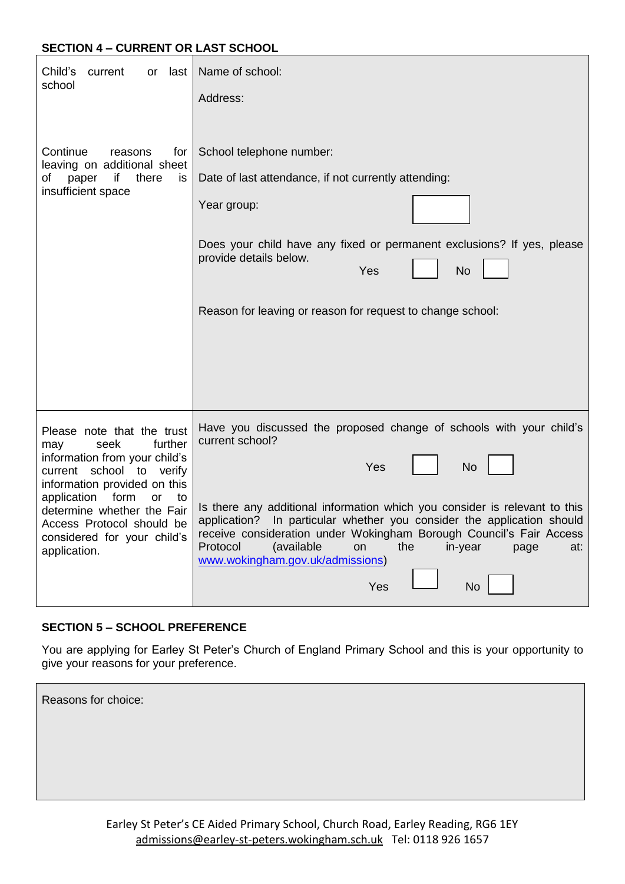### **SECTION 4 – CURRENT OR LAST SCHOOL**

| Child's<br>current<br>last<br>or<br>school                                                                                                                                                                                                                                                            | Name of school:<br>Address:                                                                                                                                                                                                                                                                                                                                                                                                                                           |
|-------------------------------------------------------------------------------------------------------------------------------------------------------------------------------------------------------------------------------------------------------------------------------------------------------|-----------------------------------------------------------------------------------------------------------------------------------------------------------------------------------------------------------------------------------------------------------------------------------------------------------------------------------------------------------------------------------------------------------------------------------------------------------------------|
| Continue<br>reasons<br>for<br>leaving on additional sheet<br>if i<br>there<br>of<br>paper<br>is<br>insufficient space                                                                                                                                                                                 | School telephone number:<br>Date of last attendance, if not currently attending:<br>Year group:<br>Does your child have any fixed or permanent exclusions? If yes, please<br>provide details below.<br>Yes<br><b>No</b><br>Reason for leaving or reason for request to change school:                                                                                                                                                                                 |
| Please note that the trust<br>seek<br>further<br>may<br>information from your child's<br>current school to verify<br>information provided on this<br>application<br>form<br><b>or</b><br>to<br>determine whether the Fair<br>Access Protocol should be<br>considered for your child's<br>application. | Have you discussed the proposed change of schools with your child's<br>current school?<br><b>No</b><br>Yes<br>Is there any additional information which you consider is relevant to this<br>In particular whether you consider the application should<br>application?<br>receive consideration under Wokingham Borough Council's Fair Access<br>the<br>Protocol<br>(available<br>on<br>in-year<br>at:<br>page<br>www.wokingham.gov.uk/admissions)<br>Yes<br><b>No</b> |

# **SECTION 5 – SCHOOL PREFERENCE**

You are applying for Earley St Peter's Church of England Primary School and this is your opportunity to give your reasons for your preference.

Reasons for choice: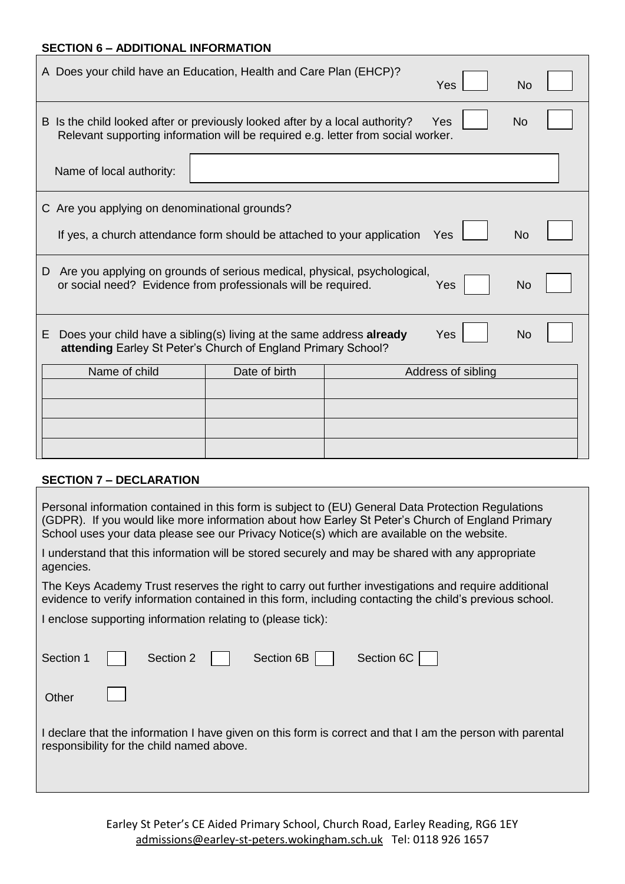#### **SECTION 6 – ADDITIONAL INFORMATION**

| A Does your child have an Education, Health and Care Plan (EHCP)?                                                                                                                           |               |  | Yes                | No        |  |
|---------------------------------------------------------------------------------------------------------------------------------------------------------------------------------------------|---------------|--|--------------------|-----------|--|
| B Is the child looked after or previously looked after by a local authority?<br><b>Yes</b><br><b>No</b><br>Relevant supporting information will be required e.g. letter from social worker. |               |  |                    |           |  |
| Name of local authority:                                                                                                                                                                    |               |  |                    |           |  |
| C Are you applying on denominational grounds?                                                                                                                                               |               |  |                    |           |  |
| If yes, a church attendance form should be attached to your application                                                                                                                     |               |  | Yes                | <b>No</b> |  |
| Are you applying on grounds of serious medical, physical, psychological,<br>D<br>or social need? Evidence from professionals will be required.<br>No<br>Yes                                 |               |  |                    |           |  |
| Does your child have a sibling(s) living at the same address already<br>Yes<br><b>No</b><br>E<br>attending Earley St Peter's Church of England Primary School?                              |               |  |                    |           |  |
| Name of child                                                                                                                                                                               | Date of birth |  | Address of sibling |           |  |
|                                                                                                                                                                                             |               |  |                    |           |  |
|                                                                                                                                                                                             |               |  |                    |           |  |
|                                                                                                                                                                                             |               |  |                    |           |  |
|                                                                                                                                                                                             |               |  |                    |           |  |

## **SECTION 7 – DECLARATION**

| Personal information contained in this form is subject to (EU) General Data Protection Regulations<br>(GDPR). If you would like more information about how Earley St Peter's Church of England Primary<br>School uses your data please see our Privacy Notice(s) which are available on the website. |  |  |  |  |
|------------------------------------------------------------------------------------------------------------------------------------------------------------------------------------------------------------------------------------------------------------------------------------------------------|--|--|--|--|
| I understand that this information will be stored securely and may be shared with any appropriate<br>agencies.                                                                                                                                                                                       |  |  |  |  |
| The Keys Academy Trust reserves the right to carry out further investigations and require additional<br>evidence to verify information contained in this form, including contacting the child's previous school.                                                                                     |  |  |  |  |
| I enclose supporting information relating to (please tick):                                                                                                                                                                                                                                          |  |  |  |  |
| Section 6C<br>Section 6B<br>Section 1<br>Section 2                                                                                                                                                                                                                                                   |  |  |  |  |
| Other                                                                                                                                                                                                                                                                                                |  |  |  |  |
| I declare that the information I have given on this form is correct and that I am the person with parental<br>responsibility for the child named above.                                                                                                                                              |  |  |  |  |
|                                                                                                                                                                                                                                                                                                      |  |  |  |  |

Earley St Peter's CE Aided Primary School, Church Road, Earley Reading, RG6 1EY [admissions@earley-st-peters.wokingham.sch.uk](mailto:admissions@earley-st-peters.wokingham.sch.uk) Tel: 0118 926 1657